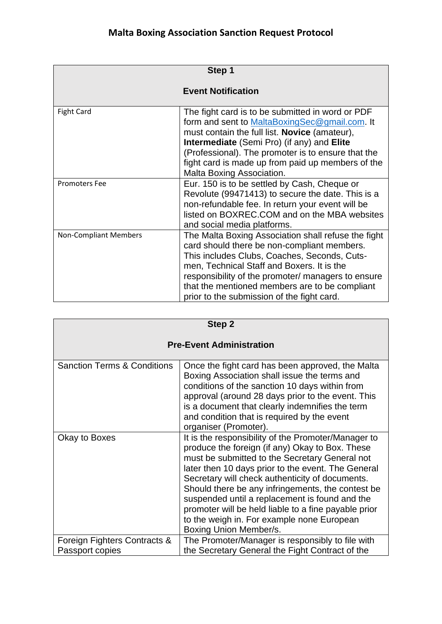| Step 1                       |                                                                                                                                                                                                                                                                                                                                                        |
|------------------------------|--------------------------------------------------------------------------------------------------------------------------------------------------------------------------------------------------------------------------------------------------------------------------------------------------------------------------------------------------------|
| <b>Event Notification</b>    |                                                                                                                                                                                                                                                                                                                                                        |
| <b>Fight Card</b>            | The fight card is to be submitted in word or PDF<br>form and sent to MaltaBoxingSec@gmail.com. It<br>must contain the full list. Novice (amateur),<br>Intermediate (Semi Pro) (if any) and Elite<br>(Professional). The promoter is to ensure that the<br>fight card is made up from paid up members of the<br>Malta Boxing Association.               |
| <b>Promoters Fee</b>         | Eur. 150 is to be settled by Cash, Cheque or<br>Revolute (99471413) to secure the date. This is a<br>non-refundable fee. In return your event will be<br>listed on BOXREC.COM and on the MBA websites<br>and social media platforms.                                                                                                                   |
| <b>Non-Compliant Members</b> | The Malta Boxing Association shall refuse the fight<br>card should there be non-compliant members.<br>This includes Clubs, Coaches, Seconds, Cuts-<br>men, Technical Staff and Boxers. It is the<br>responsibility of the promoter/ managers to ensure<br>that the mentioned members are to be compliant<br>prior to the submission of the fight card. |

| Step 2                                          |                                                                                                                                                                                                                                                                                                                                                                                                                                                                                                          |  |
|-------------------------------------------------|----------------------------------------------------------------------------------------------------------------------------------------------------------------------------------------------------------------------------------------------------------------------------------------------------------------------------------------------------------------------------------------------------------------------------------------------------------------------------------------------------------|--|
| <b>Pre-Event Administration</b>                 |                                                                                                                                                                                                                                                                                                                                                                                                                                                                                                          |  |
| <b>Sanction Terms &amp; Conditions</b>          | Once the fight card has been approved, the Malta<br>Boxing Association shall issue the terms and<br>conditions of the sanction 10 days within from<br>approval (around 28 days prior to the event. This<br>is a document that clearly indemnifies the term<br>and condition that is required by the event<br>organiser (Promoter).                                                                                                                                                                       |  |
| Okay to Boxes                                   | It is the responsibility of the Promoter/Manager to<br>produce the foreign (if any) Okay to Box. These<br>must be submitted to the Secretary General not<br>later then 10 days prior to the event. The General<br>Secretary will check authenticity of documents.<br>Should there be any infringements, the contest be<br>suspended until a replacement is found and the<br>promoter will be held liable to a fine payable prior<br>to the weigh in. For example none European<br>Boxing Union Member/s. |  |
| Foreign Fighters Contracts &<br>Passport copies | The Promoter/Manager is responsibly to file with<br>the Secretary General the Fight Contract of the                                                                                                                                                                                                                                                                                                                                                                                                      |  |